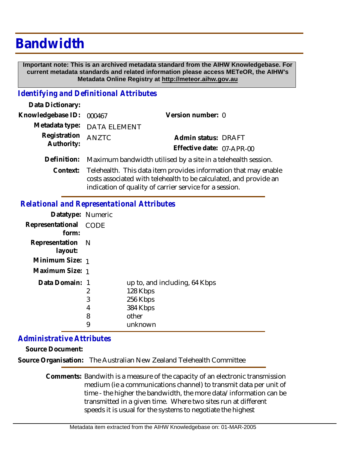# **Bandwidth**

 **Important note: This is an archived metadata standard from the AIHW Knowledgebase. For current metadata standards and related information please access METeOR, the AIHW's Metadata Online Registry at http://meteor.aihw.gov.au**

#### *Identifying and Definitional Attributes*

| Data Dictionary:         |                                                                           |                           |  |
|--------------------------|---------------------------------------------------------------------------|---------------------------|--|
| Knowledgebase ID: 000467 |                                                                           | Version number: 0         |  |
|                          | Metadata type: DATA ELEMENT                                               |                           |  |
| Registration ANZTC       |                                                                           | Admin status: DRAFT       |  |
| Authority:               |                                                                           | Effective date: 07-APR-00 |  |
|                          | Definition: Maximum bandwidth utilised by a site in a telehealth session. |                           |  |
|                          |                                                                           |                           |  |

Context: Telehealth. This data item provides information that may enable costs associated with telehealth to be calculated, and provide an indication of quality of carrier service for a session.

### *Relational and Representational Attributes*

| Datatype: Numeric              |                       |                                                                                       |
|--------------------------------|-----------------------|---------------------------------------------------------------------------------------|
| Representational CODE<br>form: |                       |                                                                                       |
| Representation N<br>layout:    |                       |                                                                                       |
| Minimum Size: 1                |                       |                                                                                       |
| Maximum Size: 1                |                       |                                                                                       |
| Data Domain: 1                 | 2<br>3<br>4<br>8<br>9 | up to, and including, 64 Kbps<br>128 Kbps<br>256 Kbps<br>384 Kbps<br>other<br>unknown |

## *Administrative Attributes*

**Source Document:**

**Source Organisation:** The Australian New Zealand Telehealth Committee

Comments: Bandwith is a measure of the capacity of an electronic transmission medium (ie a communications channel) to transmit data per unit of time - the higher the bandwidth, the more data/information can be transmitted in a given time. Where two sites run at different speeds it is usual for the systems to negotiate the highest